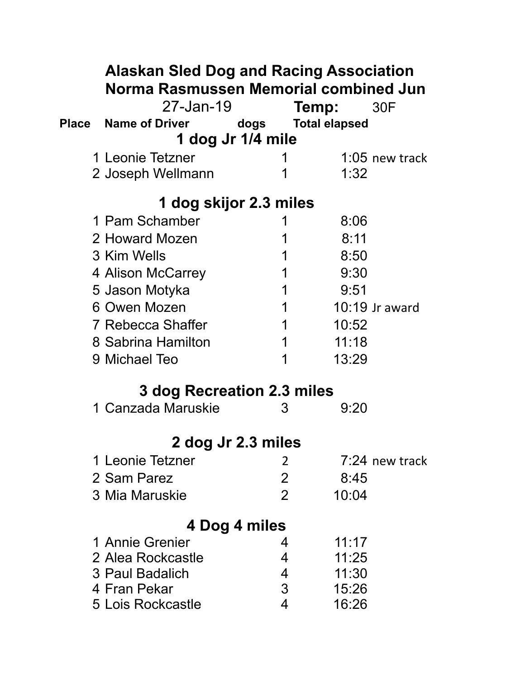|                                       | <b>Alaskan Sled Dog and Racing Association</b> |                    |                |                      |                |  |  |  |
|---------------------------------------|------------------------------------------------|--------------------|----------------|----------------------|----------------|--|--|--|
| Norma Rasmussen Memorial combined Jun |                                                |                    |                |                      |                |  |  |  |
|                                       | 27-Jan-19                                      |                    |                | Temp:                | 30F            |  |  |  |
| <b>Place</b>                          | <b>Name of Driver</b>                          | dogs               |                | <b>Total elapsed</b> |                |  |  |  |
|                                       |                                                | 1 dog Jr 1/4 mile  |                |                      |                |  |  |  |
|                                       | 1 Leonie Tetzner                               |                    |                |                      | 1:05 new track |  |  |  |
|                                       | 2 Joseph Wellmann                              |                    | 1              | 1:32                 |                |  |  |  |
|                                       | 1 dog skijor 2.3 miles                         |                    |                |                      |                |  |  |  |
|                                       | 1 Pam Schamber                                 |                    |                | 8:06                 |                |  |  |  |
|                                       | 2 Howard Mozen                                 |                    |                | 8:11                 |                |  |  |  |
|                                       | 3 Kim Wells                                    |                    |                | 8:50                 |                |  |  |  |
|                                       | 4 Alison McCarrey                              |                    |                | 9:30                 |                |  |  |  |
|                                       | 5 Jason Motyka                                 |                    | 1              | 9:51                 |                |  |  |  |
|                                       | 6 Owen Mozen                                   |                    | 1              |                      | 10:19 Jr award |  |  |  |
|                                       | 7 Rebecca Shaffer                              |                    | 1              | 10:52                |                |  |  |  |
|                                       | 8 Sabrina Hamilton                             |                    | 1              | 11:18                |                |  |  |  |
|                                       | 9 Michael Teo                                  |                    | 1              | 13:29                |                |  |  |  |
|                                       | 3 dog Recreation 2.3 miles                     |                    |                |                      |                |  |  |  |
|                                       | 1 Canzada Maruskie                             |                    | 3              | 9:20                 |                |  |  |  |
|                                       |                                                | 2 dog Jr 2.3 miles |                |                      |                |  |  |  |
|                                       | 1 Leonie Tetzner                               |                    | $\overline{2}$ |                      | 7:24 new track |  |  |  |
|                                       | 2 Sam Parez                                    |                    | $\overline{2}$ | 8:45                 |                |  |  |  |
|                                       | 3 Mia Maruskie                                 |                    | $\overline{2}$ | 10:04                |                |  |  |  |
|                                       |                                                | 4 Dog 4 miles      |                |                      |                |  |  |  |
|                                       | 1 Annie Grenier                                |                    | 4              | 11:17                |                |  |  |  |
|                                       | 2 Alea Rockcastle                              |                    | 4              | 11:25                |                |  |  |  |
|                                       | 3 Paul Badalich                                |                    | 4              | 11:30                |                |  |  |  |
|                                       | 4 Fran Pekar                                   |                    | 3              | 15:26                |                |  |  |  |
|                                       | <b>5 Lois Rockcastle</b>                       |                    | 4              | 16:26                |                |  |  |  |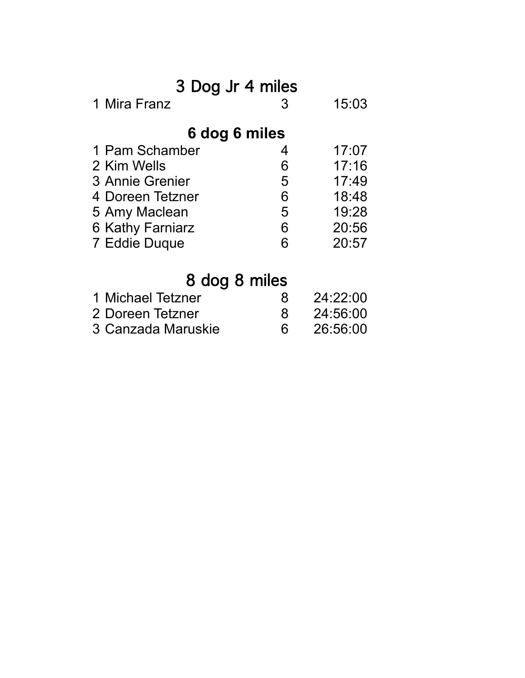| 3 Dog Jr 4 miles |  |  |  |  |  |  |
|------------------|--|--|--|--|--|--|
| 15:03            |  |  |  |  |  |  |
|                  |  |  |  |  |  |  |
| 17:07            |  |  |  |  |  |  |
| 17:16            |  |  |  |  |  |  |
| 17:49            |  |  |  |  |  |  |
| 18:48            |  |  |  |  |  |  |
| 19:28            |  |  |  |  |  |  |
| 20:56            |  |  |  |  |  |  |
| 20:57            |  |  |  |  |  |  |
|                  |  |  |  |  |  |  |

## 8 dog 8 miles

| 1 Michael Tetzner  | 24:22:00 |
|--------------------|----------|
| 2 Doreen Tetzner   | 24:56:00 |
| 3 Canzada Maruskie | 26:56:00 |